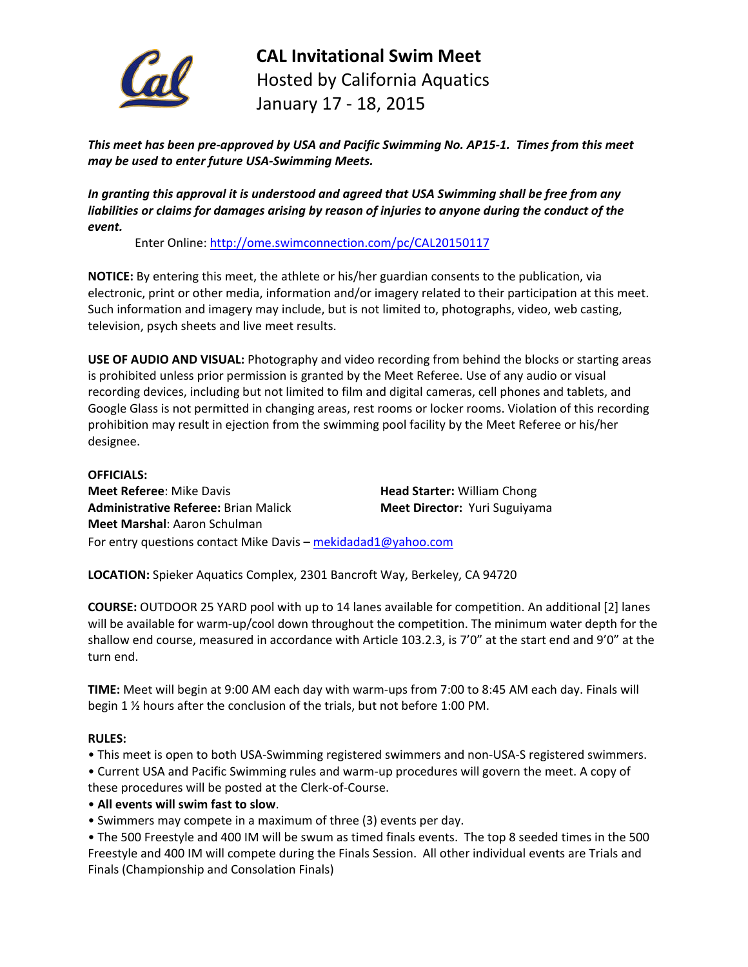

**CAL Invitational Swim Meet** Hosted by California Aquatics January 17 - 18, 2015

*This meet has been pre-approved by USA and Pacific Swimming No. AP15-1. Times from this meet may be used to enter future USA-Swimming Meets.* 

*In granting this approval it is understood and agreed that USA Swimming shall be free from any liabilities or claims for damages arising by reason of injuries to anyone during the conduct of the event.*

Enter Online:<http://ome.swimconnection.com/pc/CAL20150117>

**NOTICE:** By entering this meet, the athlete or his/her guardian consents to the publication, via electronic, print or other media, information and/or imagery related to their participation at this meet. Such information and imagery may include, but is not limited to, photographs, video, web casting, television, psych sheets and live meet results.

**USE OF AUDIO AND VISUAL:** Photography and video recording from behind the blocks or starting areas is prohibited unless prior permission is granted by the Meet Referee. Use of any audio or visual recording devices, including but not limited to film and digital cameras, cell phones and tablets, and Google Glass is not permitted in changing areas, rest rooms or locker rooms. Violation of this recording prohibition may result in ejection from the swimming pool facility by the Meet Referee or his/her designee.

## **OFFICIALS:**

**Meet Referee:** Mike Davis **Head Starter: William Chong Administrative Referee:** Brian Malick **Meet Director:** Yuri Suguiyama **Meet Marshal**: Aaron Schulman For entry questions contact Mike Davis – [mekidadad1@yahoo.com](mailto:mekidadad1@yahoo.com)

**LOCATION:** Spieker Aquatics Complex, 2301 Bancroft Way, Berkeley, CA 94720

**COURSE:** OUTDOOR 25 YARD pool with up to 14 lanes available for competition. An additional [2] lanes will be available for warm-up/cool down throughout the competition. The minimum water depth for the shallow end course, measured in accordance with Article 103.2.3, is 7'0" at the start end and 9'0" at the turn end.

**TIME:** Meet will begin at 9:00 AM each day with warm-ups from 7:00 to 8:45 AM each day. Finals will begin 1 ½ hours after the conclusion of the trials, but not before 1:00 PM.

# **RULES:**

• This meet is open to both USA-Swimming registered swimmers and non-USA-S registered swimmers.

• Current USA and Pacific Swimming rules and warm-up procedures will govern the meet. A copy of

these procedures will be posted at the Clerk-of-Course.

# • **All events will swim fast to slow**.

• Swimmers may compete in a maximum of three (3) events per day.

• The 500 Freestyle and 400 IM will be swum as timed finals events. The top 8 seeded times in the 500 Freestyle and 400 IM will compete during the Finals Session. All other individual events are Trials and Finals (Championship and Consolation Finals)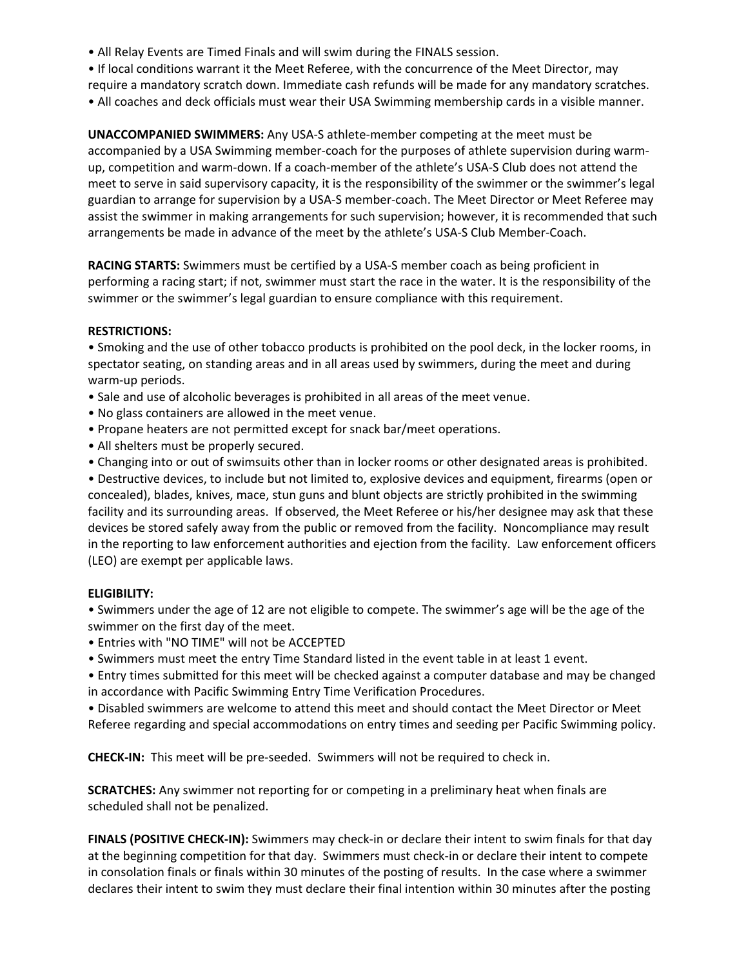- All Relay Events are Timed Finals and will swim during the FINALS session.
- If local conditions warrant it the Meet Referee, with the concurrence of the Meet Director, may
- require a mandatory scratch down. Immediate cash refunds will be made for any mandatory scratches.
- All coaches and deck officials must wear their USA Swimming membership cards in a visible manner.

**UNACCOMPANIED SWIMMERS:** Any USA-S athlete-member competing at the meet must be accompanied by a USA Swimming member-coach for the purposes of athlete supervision during warmup, competition and warm-down. If a coach-member of the athlete's USA-S Club does not attend the meet to serve in said supervisory capacity, it is the responsibility of the swimmer or the swimmer's legal guardian to arrange for supervision by a USA-S member-coach. The Meet Director or Meet Referee may assist the swimmer in making arrangements for such supervision; however, it is recommended that such arrangements be made in advance of the meet by the athlete's USA-S Club Member-Coach.

**RACING STARTS:** Swimmers must be certified by a USA-S member coach as being proficient in performing a racing start; if not, swimmer must start the race in the water. It is the responsibility of the swimmer or the swimmer's legal guardian to ensure compliance with this requirement.

### **RESTRICTIONS:**

• Smoking and the use of other tobacco products is prohibited on the pool deck, in the locker rooms, in spectator seating, on standing areas and in all areas used by swimmers, during the meet and during warm-up periods.

- Sale and use of alcoholic beverages is prohibited in all areas of the meet venue.
- No glass containers are allowed in the meet venue.
- Propane heaters are not permitted except for snack bar/meet operations.
- All shelters must be properly secured.
- Changing into or out of swimsuits other than in locker rooms or other designated areas is prohibited.

• Destructive devices, to include but not limited to, explosive devices and equipment, firearms (open or concealed), blades, knives, mace, stun guns and blunt objects are strictly prohibited in the swimming facility and its surrounding areas. If observed, the Meet Referee or his/her designee may ask that these devices be stored safely away from the public or removed from the facility. Noncompliance may result in the reporting to law enforcement authorities and ejection from the facility. Law enforcement officers (LEO) are exempt per applicable laws.

### **ELIGIBILITY:**

• Swimmers under the age of 12 are not eligible to compete. The swimmer's age will be the age of the swimmer on the first day of the meet.

- Entries with "NO TIME" will not be ACCEPTED
- Swimmers must meet the entry Time Standard listed in the event table in at least 1 event.

• Entry times submitted for this meet will be checked against a computer database and may be changed in accordance with Pacific Swimming Entry Time Verification Procedures.

• Disabled swimmers are welcome to attend this meet and should contact the Meet Director or Meet Referee regarding and special accommodations on entry times and seeding per Pacific Swimming policy.

**CHECK-IN:** This meet will be pre-seeded. Swimmers will not be required to check in.

**SCRATCHES:** Any swimmer not reporting for or competing in a preliminary heat when finals are scheduled shall not be penalized.

**FINALS (POSITIVE CHECK-IN):** Swimmers may check-in or declare their intent to swim finals for that day at the beginning competition for that day. Swimmers must check-in or declare their intent to compete in consolation finals or finals within 30 minutes of the posting of results. In the case where a swimmer declares their intent to swim they must declare their final intention within 30 minutes after the posting